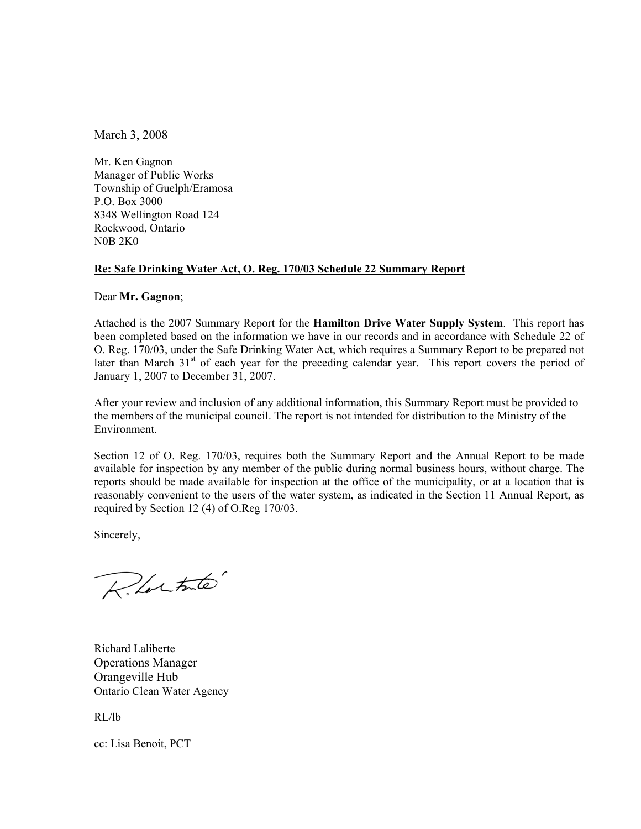March 3, 2008

Mr. Ken Gagnon Manager of Public Works Township of Guelph/Eramosa P.O. Box 3000 8348 Wellington Road 124 Rockwood, Ontario N0B 2K0

#### **Re: Safe Drinking Water Act, O. Reg. 170/03 Schedule 22 Summary Report**

Dear **Mr. Gagnon**;

Attached is the 2007 Summary Report for the **Hamilton Drive Water Supply System**. This report has been completed based on the information we have in our records and in accordance with Schedule 22 of O. Reg. 170/03, under the Safe Drinking Water Act, which requires a Summary Report to be prepared not later than March 31<sup>st</sup> of each year for the preceding calendar year. This report covers the period of January 1, 2007 to December 31, 2007.

After your review and inclusion of any additional information, this Summary Report must be provided to the members of the municipal council. The report is not intended for distribution to the Ministry of the Environment.

Section 12 of O. Reg. 170/03, requires both the Summary Report and the Annual Report to be made available for inspection by any member of the public during normal business hours, without charge. The reports should be made available for inspection at the office of the municipality, or at a location that is reasonably convenient to the users of the water system, as indicated in the Section 11 Annual Report, as required by Section 12 (4) of O.Reg 170/03.

Sincerely,

Rlatate

Richard Laliberte Operations Manager Orangeville Hub Ontario Clean Water Agency

RL/lb

cc: Lisa Benoit, PCT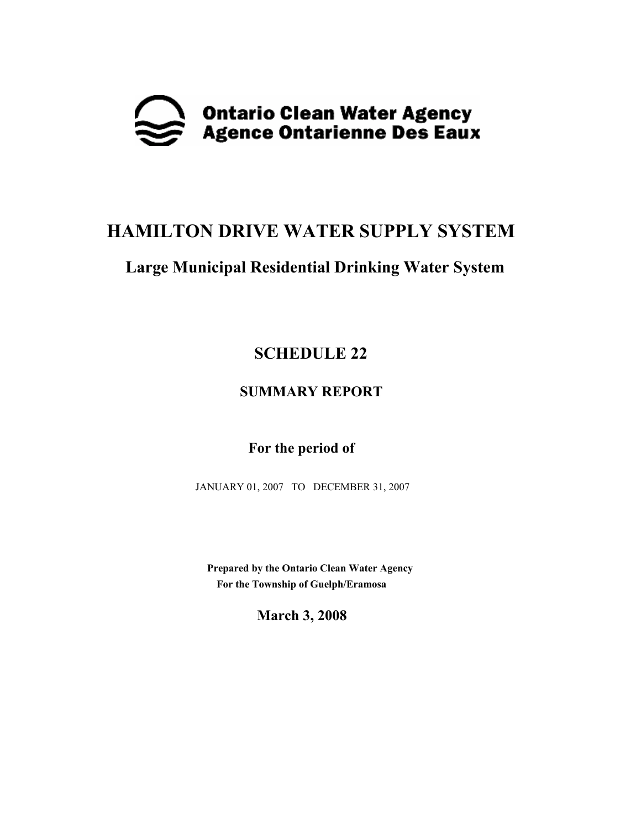

# **HAMILTON DRIVE WATER SUPPLY SYSTEM**

## **Large Municipal Residential Drinking Water System**

## **SCHEDULE 22**

### **SUMMARY REPORT**

### **For the period of**

JANUARY 01, 2007 TO DECEMBER 31, 2007

 **Prepared by the Ontario Clean Water Agency For the Township of Guelph/Eramosa** 

**March 3, 2008**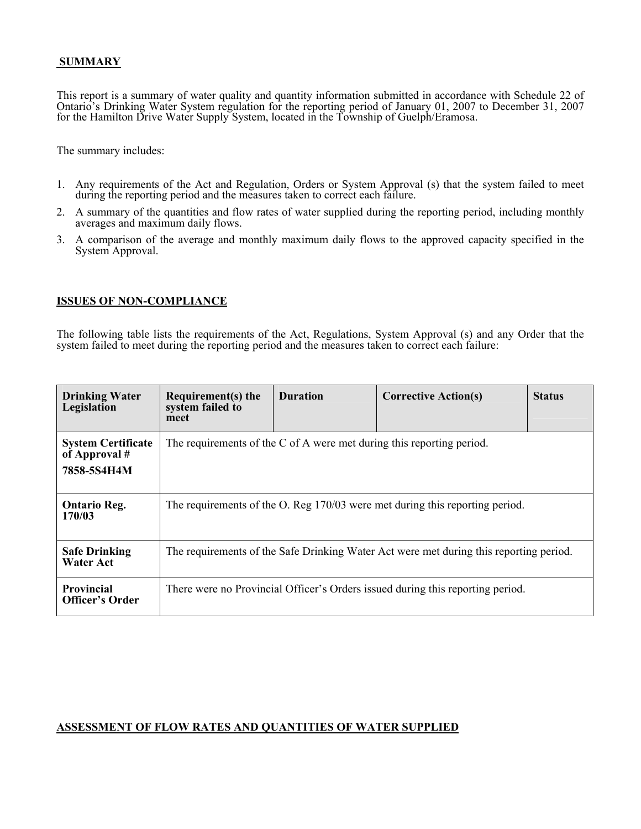#### **SUMMARY**

This report is a summary of water quality and quantity information submitted in accordance with Schedule 22 of Ontario's Drinking Water System regulation for the reporting period of January 01, 2007 to December 31, 2007 for the Hamilton Drive Water Supply System, located in the Township of Guelph/Eramosa.

The summary includes:

- 1. Any requirements of the Act and Regulation, Orders or System Approval (s) that the system failed to meet during the reporting period and the measures taken to correct each failure.
- 2. A summary of the quantities and flow rates of water supplied during the reporting period, including monthly averages and maximum daily flows.
- 3. A comparison of the average and monthly maximum daily flows to the approved capacity specified in the System Approval.

#### **ISSUES OF NON-COMPLIANCE**

The following table lists the requirements of the Act, Regulations, System Approval (s) and any Order that the system failed to meet during the reporting period and the measures taken to correct each failure:

| <b>Drinking Water</b><br>Legislation                        | Requirement(s) the<br>system failed to<br>meet                                         | <b>Duration</b> | <b>Corrective Action(s)</b> | <b>Status</b> |  |  |
|-------------------------------------------------------------|----------------------------------------------------------------------------------------|-----------------|-----------------------------|---------------|--|--|
| <b>System Certificate</b><br>of Approval $#$<br>7858-5S4H4M | The requirements of the C of A were met during this reporting period.                  |                 |                             |               |  |  |
| <b>Ontario Reg.</b><br>170/03                               | The requirements of the O. Reg 170/03 were met during this reporting period.           |                 |                             |               |  |  |
| <b>Safe Drinking</b><br><b>Water Act</b>                    | The requirements of the Safe Drinking Water Act were met during this reporting period. |                 |                             |               |  |  |
| <b>Provincial</b><br><b>Officer's Order</b>                 | There were no Provincial Officer's Orders issued during this reporting period.         |                 |                             |               |  |  |

#### **ASSESSMENT OF FLOW RATES AND QUANTITIES OF WATER SUPPLIED**